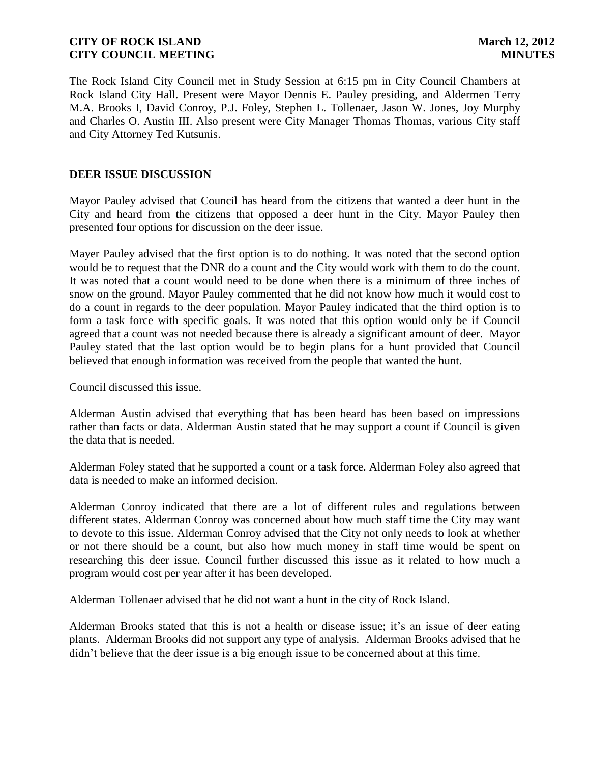The Rock Island City Council met in Study Session at 6:15 pm in City Council Chambers at Rock Island City Hall. Present were Mayor Dennis E. Pauley presiding, and Aldermen Terry M.A. Brooks I, David Conroy, P.J. Foley, Stephen L. Tollenaer, Jason W. Jones, Joy Murphy and Charles O. Austin III. Also present were City Manager Thomas Thomas, various City staff and City Attorney Ted Kutsunis.

### **DEER ISSUE DISCUSSION**

Mayor Pauley advised that Council has heard from the citizens that wanted a deer hunt in the City and heard from the citizens that opposed a deer hunt in the City. Mayor Pauley then presented four options for discussion on the deer issue.

Mayer Pauley advised that the first option is to do nothing. It was noted that the second option would be to request that the DNR do a count and the City would work with them to do the count. It was noted that a count would need to be done when there is a minimum of three inches of snow on the ground. Mayor Pauley commented that he did not know how much it would cost to do a count in regards to the deer population. Mayor Pauley indicated that the third option is to form a task force with specific goals. It was noted that this option would only be if Council agreed that a count was not needed because there is already a significant amount of deer. Mayor Pauley stated that the last option would be to begin plans for a hunt provided that Council believed that enough information was received from the people that wanted the hunt.

Council discussed this issue.

Alderman Austin advised that everything that has been heard has been based on impressions rather than facts or data. Alderman Austin stated that he may support a count if Council is given the data that is needed.

Alderman Foley stated that he supported a count or a task force. Alderman Foley also agreed that data is needed to make an informed decision.

Alderman Conroy indicated that there are a lot of different rules and regulations between different states. Alderman Conroy was concerned about how much staff time the City may want to devote to this issue. Alderman Conroy advised that the City not only needs to look at whether or not there should be a count, but also how much money in staff time would be spent on researching this deer issue. Council further discussed this issue as it related to how much a program would cost per year after it has been developed.

Alderman Tollenaer advised that he did not want a hunt in the city of Rock Island.

Alderman Brooks stated that this is not a health or disease issue; it's an issue of deer eating plants. Alderman Brooks did not support any type of analysis. Alderman Brooks advised that he didn't believe that the deer issue is a big enough issue to be concerned about at this time.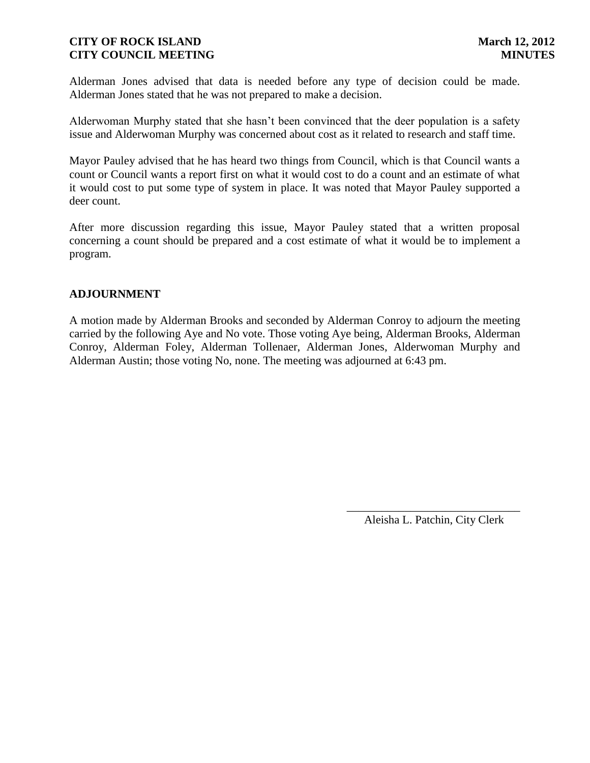Alderman Jones advised that data is needed before any type of decision could be made. Alderman Jones stated that he was not prepared to make a decision.

Alderwoman Murphy stated that she hasn't been convinced that the deer population is a safety issue and Alderwoman Murphy was concerned about cost as it related to research and staff time.

Mayor Pauley advised that he has heard two things from Council, which is that Council wants a count or Council wants a report first on what it would cost to do a count and an estimate of what it would cost to put some type of system in place. It was noted that Mayor Pauley supported a deer count.

After more discussion regarding this issue, Mayor Pauley stated that a written proposal concerning a count should be prepared and a cost estimate of what it would be to implement a program.

### **ADJOURNMENT**

A motion made by Alderman Brooks and seconded by Alderman Conroy to adjourn the meeting carried by the following Aye and No vote. Those voting Aye being, Alderman Brooks, Alderman Conroy, Alderman Foley, Alderman Tollenaer, Alderman Jones, Alderwoman Murphy and Alderman Austin; those voting No, none. The meeting was adjourned at 6:43 pm.

> \_\_\_\_\_\_\_\_\_\_\_\_\_\_\_\_\_\_\_\_\_\_\_\_\_\_\_\_\_\_ Aleisha L. Patchin, City Clerk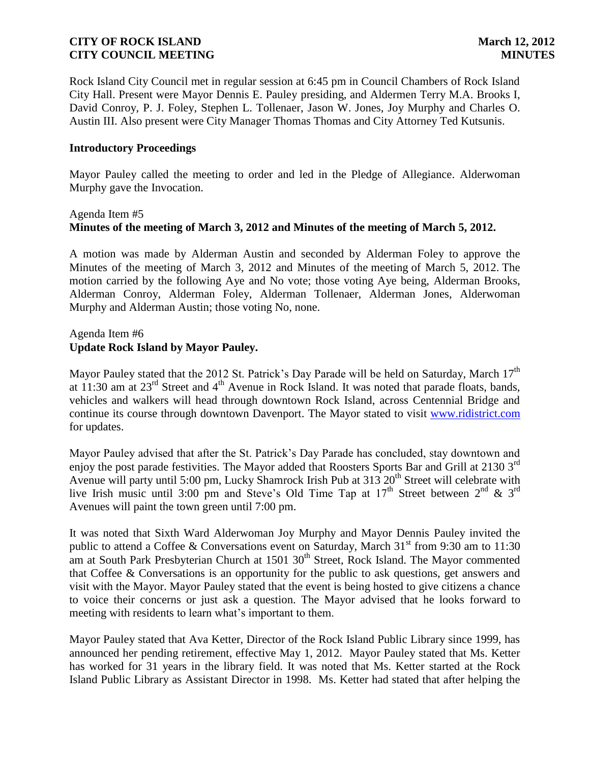Rock Island City Council met in regular session at 6:45 pm in Council Chambers of Rock Island City Hall. Present were Mayor Dennis E. Pauley presiding, and Aldermen Terry M.A. Brooks I, David Conroy, P. J. Foley, Stephen L. Tollenaer, Jason W. Jones, Joy Murphy and Charles O. Austin III. Also present were City Manager Thomas Thomas and City Attorney Ted Kutsunis.

### **Introductory Proceedings**

Mayor Pauley called the meeting to order and led in the Pledge of Allegiance. Alderwoman Murphy gave the Invocation.

# Agenda Item #5 **Minutes of the meeting of March 3, 2012 and Minutes of the meeting of March 5, 2012.**

A motion was made by Alderman Austin and seconded by Alderman Foley to approve the Minutes of the meeting of March 3, 2012 and Minutes of the meeting of March 5, 2012. The motion carried by the following Aye and No vote; those voting Aye being, Alderman Brooks, Alderman Conroy, Alderman Foley, Alderman Tollenaer, Alderman Jones, Alderwoman Murphy and Alderman Austin; those voting No, none.

### Agenda Item #6 **Update Rock Island by Mayor Pauley.**

Mayor Pauley stated that the 2012 St. Patrick's Day Parade will be held on Saturday, March  $17<sup>th</sup>$ at 11:30 am at 23<sup>rd</sup> Street and 4<sup>th</sup> Avenue in Rock Island. It was noted that parade floats, bands, vehicles and walkers will head through downtown Rock Island, across Centennial Bridge and continue its course through downtown Davenport. The Mayor stated to visit [www.ridistrict.com](http://www.ridistrict.com/) for updates.

Mayor Pauley advised that after the St. Patrick's Day Parade has concluded, stay downtown and enjoy the post parade festivities. The Mayor added that Roosters Sports Bar and Grill at 2130 3<sup>rd</sup> Avenue will party until 5:00 pm, Lucky Shamrock Irish Pub at 313 20<sup>th</sup> Street will celebrate with live Irish music until 3:00 pm and Steve's Old Time Tap at  $17<sup>th</sup>$  Street between  $2<sup>nd</sup>$  &  $3<sup>rd</sup>$ Avenues will paint the town green until 7:00 pm.

It was noted that Sixth Ward Alderwoman Joy Murphy and Mayor Dennis Pauley invited the public to attend a Coffee & Conversations event on Saturday, March  $31<sup>st</sup>$  from 9:30 am to 11:30 am at South Park Presbyterian Church at  $1501 \, 30$ <sup>th</sup> Street, Rock Island. The Mayor commented that Coffee & Conversations is an opportunity for the public to ask questions, get answers and visit with the Mayor. Mayor Pauley stated that the event is being hosted to give citizens a chance to voice their concerns or just ask a question. The Mayor advised that he looks forward to meeting with residents to learn what's important to them.

Mayor Pauley stated that Ava Ketter, Director of the Rock Island Public Library since 1999, has announced her pending retirement, effective May 1, 2012. Mayor Pauley stated that Ms. Ketter has worked for 31 years in the library field. It was noted that Ms. Ketter started at the Rock Island Public Library as Assistant Director in 1998. Ms. Ketter had stated that after helping the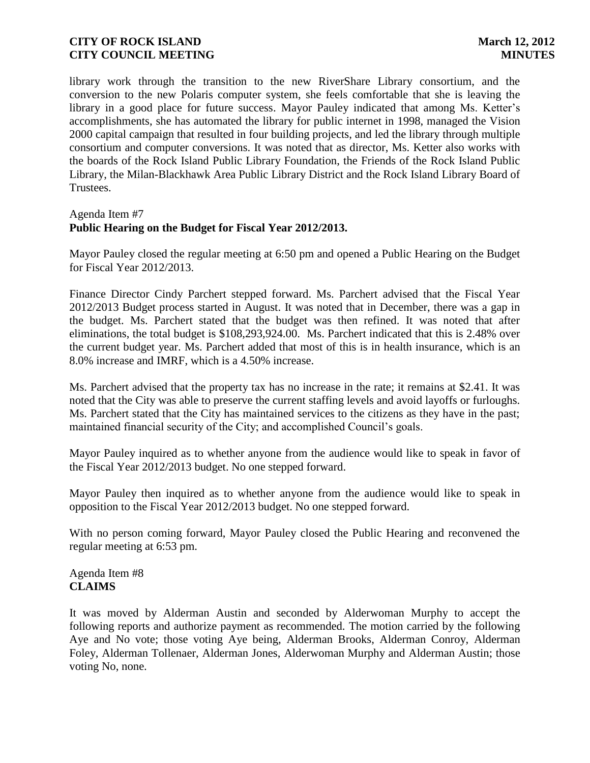library work through the transition to the new RiverShare Library consortium, and the conversion to the new Polaris computer system, she feels comfortable that she is leaving the library in a good place for future success. Mayor Pauley indicated that among Ms. Ketter's accomplishments, she has automated the library for public internet in 1998, managed the Vision 2000 capital campaign that resulted in four building projects, and led the library through multiple consortium and computer conversions. It was noted that as director, Ms. Ketter also works with the boards of the Rock Island Public Library Foundation, the Friends of the Rock Island Public Library, the Milan-Blackhawk Area Public Library District and the Rock Island Library Board of Trustees.

#### Agenda Item #7

# **Public Hearing on the Budget for Fiscal Year 2012/2013.**

Mayor Pauley closed the regular meeting at 6:50 pm and opened a Public Hearing on the Budget for Fiscal Year 2012/2013.

Finance Director Cindy Parchert stepped forward. Ms. Parchert advised that the Fiscal Year 2012/2013 Budget process started in August. It was noted that in December, there was a gap in the budget. Ms. Parchert stated that the budget was then refined. It was noted that after eliminations, the total budget is \$108,293,924.00. Ms. Parchert indicated that this is 2.48% over the current budget year. Ms. Parchert added that most of this is in health insurance, which is an 8.0% increase and IMRF, which is a 4.50% increase.

Ms. Parchert advised that the property tax has no increase in the rate; it remains at \$2.41. It was noted that the City was able to preserve the current staffing levels and avoid layoffs or furloughs. Ms. Parchert stated that the City has maintained services to the citizens as they have in the past; maintained financial security of the City; and accomplished Council's goals.

Mayor Pauley inquired as to whether anyone from the audience would like to speak in favor of the Fiscal Year 2012/2013 budget. No one stepped forward.

Mayor Pauley then inquired as to whether anyone from the audience would like to speak in opposition to the Fiscal Year 2012/2013 budget. No one stepped forward.

With no person coming forward, Mayor Pauley closed the Public Hearing and reconvened the regular meeting at 6:53 pm.

Agenda Item #8 **CLAIMS**

It was moved by Alderman Austin and seconded by Alderwoman Murphy to accept the following reports and authorize payment as recommended. The motion carried by the following Aye and No vote; those voting Aye being, Alderman Brooks, Alderman Conroy, Alderman Foley, Alderman Tollenaer, Alderman Jones, Alderwoman Murphy and Alderman Austin; those voting No, none.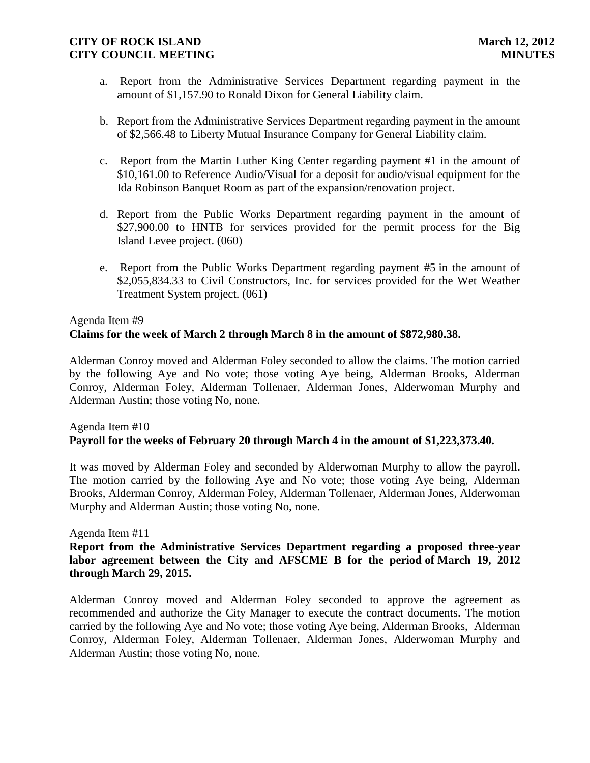- a. Report from the Administrative Services Department regarding payment in the amount of \$1,157.90 to Ronald Dixon for General Liability claim.
- b. Report from the Administrative Services Department regarding payment in the amount of \$2,566.48 to Liberty Mutual Insurance Company for General Liability claim.
- c. Report from the Martin Luther King Center regarding payment #1 in the amount of \$10,161.00 to Reference Audio/Visual for a deposit for audio/visual equipment for the Ida Robinson Banquet Room as part of the expansion/renovation project.
- d. Report from the Public Works Department regarding payment in the amount of \$27,900.00 to HNTB for services provided for the permit process for the Big Island Levee project. (060)
- e. Report from the Public Works Department regarding payment #5 in the amount of \$2,055,834.33 to Civil Constructors, Inc. for services provided for the Wet Weather Treatment System project. (061)

# Agenda Item #9 **Claims for the week of March 2 through March 8 in the amount of \$872,980.38.**

Alderman Conroy moved and Alderman Foley seconded to allow the claims. The motion carried by the following Aye and No vote; those voting Aye being, Alderman Brooks, Alderman Conroy, Alderman Foley, Alderman Tollenaer, Alderman Jones, Alderwoman Murphy and Alderman Austin; those voting No, none.

# Agenda Item #10 **Payroll for the weeks of February 20 through March 4 in the amount of \$1,223,373.40.**

 It was moved by Alderman Foley and seconded by Alderwoman Murphy to allow the payroll. The motion carried by the following Aye and No vote; those voting Aye being, Alderman Brooks, Alderman Conroy, Alderman Foley, Alderman Tollenaer, Alderman Jones, Alderwoman Murphy and Alderman Austin; those voting No, none.

### Agenda Item #11

**Report from the Administrative Services Department regarding a proposed three-year labor agreement between the City and AFSCME B for the period of March 19, 2012 through March 29, 2015.**

Alderman Conroy moved and Alderman Foley seconded to approve the agreement as recommended and authorize the City Manager to execute the contract documents. The motion carried by the following Aye and No vote; those voting Aye being, Alderman Brooks, Alderman Conroy, Alderman Foley, Alderman Tollenaer, Alderman Jones, Alderwoman Murphy and Alderman Austin; those voting No, none.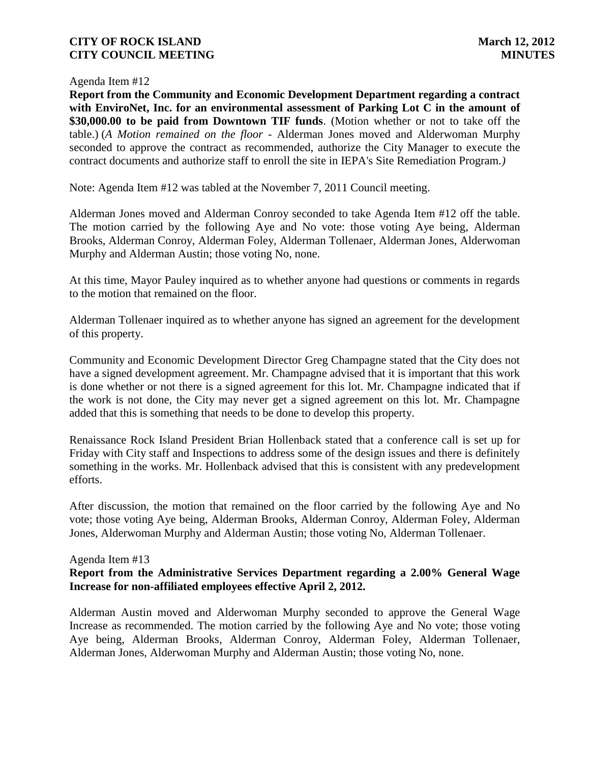#### Agenda Item #12

 **Report from the Community and Economic Development Department regarding a contract with EnviroNet, Inc. for an environmental assessment of Parking Lot C in the amount of \$30,000.00 to be paid from Downtown TIF funds**. (Motion whether or not to take off the table.) (*A Motion remained on the floor -* Alderman Jones moved and Alderwoman Murphy seconded to approve the contract as recommended, authorize the City Manager to execute the contract documents and authorize staff to enroll the site in IEPA's Site Remediation Program*.)*

Note: Agenda Item #12 was tabled at the November 7, 2011 Council meeting.

Alderman Jones moved and Alderman Conroy seconded to take Agenda Item #12 off the table. The motion carried by the following Aye and No vote: those voting Aye being, Alderman Brooks, Alderman Conroy, Alderman Foley, Alderman Tollenaer, Alderman Jones, Alderwoman Murphy and Alderman Austin; those voting No, none.

At this time, Mayor Pauley inquired as to whether anyone had questions or comments in regards to the motion that remained on the floor.

Alderman Tollenaer inquired as to whether anyone has signed an agreement for the development of this property.

Community and Economic Development Director Greg Champagne stated that the City does not have a signed development agreement. Mr. Champagne advised that it is important that this work is done whether or not there is a signed agreement for this lot. Mr. Champagne indicated that if the work is not done, the City may never get a signed agreement on this lot. Mr. Champagne added that this is something that needs to be done to develop this property.

Renaissance Rock Island President Brian Hollenback stated that a conference call is set up for Friday with City staff and Inspections to address some of the design issues and there is definitely something in the works. Mr. Hollenback advised that this is consistent with any predevelopment efforts.

After discussion, the motion that remained on the floor carried by the following Aye and No vote; those voting Aye being, Alderman Brooks, Alderman Conroy, Alderman Foley, Alderman Jones, Alderwoman Murphy and Alderman Austin; those voting No, Alderman Tollenaer.

#### Agenda Item #13

# **Report from the Administrative Services Department regarding a 2.00% General Wage Increase for non-affiliated employees effective April 2, 2012.**

Alderman Austin moved and Alderwoman Murphy seconded to approve the General Wage Increase as recommended. The motion carried by the following Aye and No vote; those voting Aye being, Alderman Brooks, Alderman Conroy, Alderman Foley, Alderman Tollenaer, Alderman Jones, Alderwoman Murphy and Alderman Austin; those voting No, none.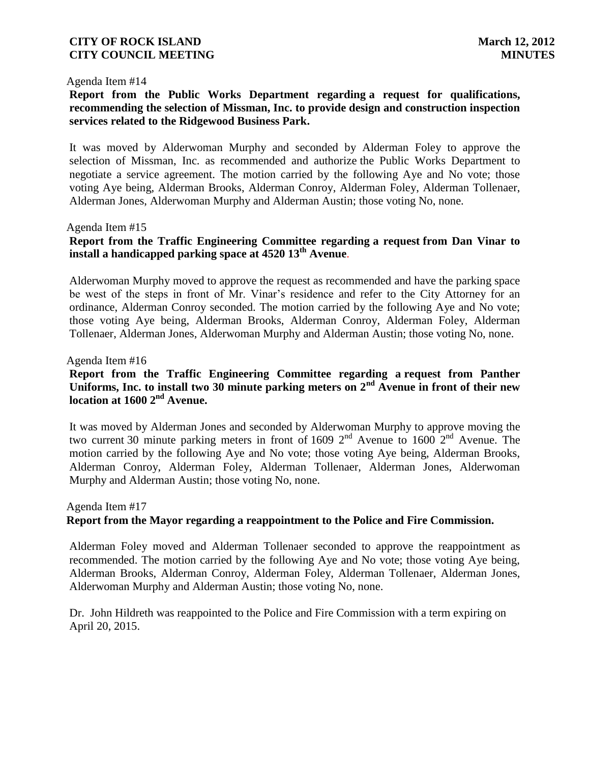#### Agenda Item #14

## **Report from the Public Works Department regarding a request for qualifications, recommending the selection of Missman, Inc. to provide design and construction inspection services related to the Ridgewood Business Park.**

It was moved by Alderwoman Murphy and seconded by Alderman Foley to approve the selection of Missman, Inc. as recommended and authorize the Public Works Department to negotiate a service agreement. The motion carried by the following Aye and No vote; those voting Aye being, Alderman Brooks, Alderman Conroy, Alderman Foley, Alderman Tollenaer, Alderman Jones, Alderwoman Murphy and Alderman Austin; those voting No, none.

#### Agenda Item #15

# **Report from the Traffic Engineering Committee regarding a request from Dan Vinar to install a handicapped parking space at 4520 13th Avenue**.

Alderwoman Murphy moved to approve the request as recommended and have the parking space be west of the steps in front of Mr. Vinar's residence and refer to the City Attorney for an ordinance, Alderman Conroy seconded. The motion carried by the following Aye and No vote; those voting Aye being, Alderman Brooks, Alderman Conroy, Alderman Foley, Alderman Tollenaer, Alderman Jones, Alderwoman Murphy and Alderman Austin; those voting No, none.

#### Agenda Item #16

# **Report from the Traffic Engineering Committee regarding a request from Panther Uniforms, Inc. to install two 30 minute parking meters on 2nd Avenue in front of their new location at 1600 2nd Avenue.**

It was moved by Alderman Jones and seconded by Alderwoman Murphy to approve moving the two current 30 minute parking meters in front of 1609  $2<sup>nd</sup>$  Avenue to 1600  $2<sup>nd</sup>$  Avenue. The motion carried by the following Aye and No vote; those voting Aye being, Alderman Brooks, Alderman Conroy, Alderman Foley, Alderman Tollenaer, Alderman Jones, Alderwoman Murphy and Alderman Austin; those voting No, none.

# Agenda Item #17 **Report from the Mayor regarding a reappointment to the Police and Fire Commission.**

Alderman Foley moved and Alderman Tollenaer seconded to approve the reappointment as recommended. The motion carried by the following Aye and No vote; those voting Aye being, Alderman Brooks, Alderman Conroy, Alderman Foley, Alderman Tollenaer, Alderman Jones, Alderwoman Murphy and Alderman Austin; those voting No, none.

Dr. John Hildreth was reappointed to the Police and Fire Commission with a term expiring on April 20, 2015.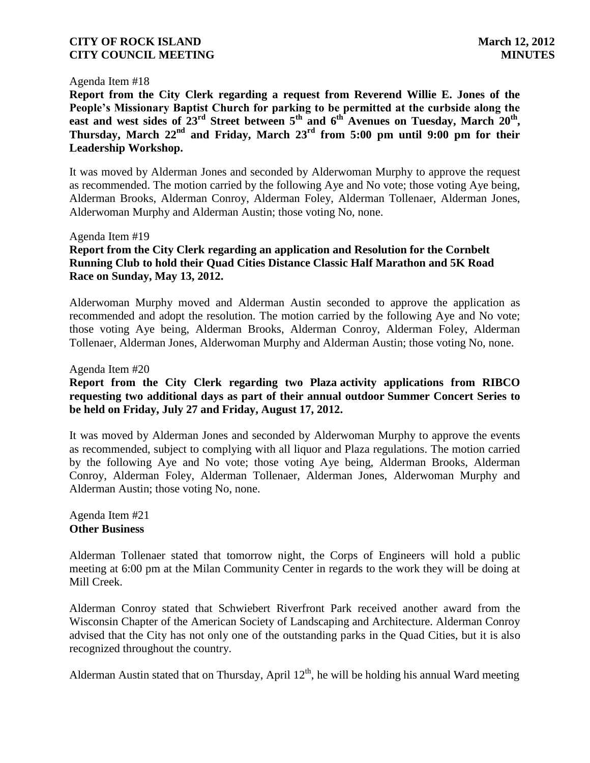#### Agenda Item #18

**Report from the City Clerk regarding a request from Reverend Willie E. Jones of the People's Missionary Baptist Church for parking to be permitted at the curbside along the east and west sides of 23rd Street between 5th and 6th Avenues on Tuesday, March 20th , Thursday, March 22nd and Friday, March 23rd from 5:00 pm until 9:00 pm for their Leadership Workshop.**

It was moved by Alderman Jones and seconded by Alderwoman Murphy to approve the request as recommended. The motion carried by the following Aye and No vote; those voting Aye being, Alderman Brooks, Alderman Conroy, Alderman Foley, Alderman Tollenaer, Alderman Jones, Alderwoman Murphy and Alderman Austin; those voting No, none.

#### Agenda Item #19

# **Report from the City Clerk regarding an application and Resolution for the Cornbelt Running Club to hold their Quad Cities Distance Classic Half Marathon and 5K Road Race on Sunday, May 13, 2012.**

Alderwoman Murphy moved and Alderman Austin seconded to approve the application as recommended and adopt the resolution. The motion carried by the following Aye and No vote; those voting Aye being, Alderman Brooks, Alderman Conroy, Alderman Foley, Alderman Tollenaer, Alderman Jones, Alderwoman Murphy and Alderman Austin; those voting No, none.

#### Agenda Item #20

## **Report from the City Clerk regarding two Plaza activity applications from RIBCO requesting two additional days as part of their annual outdoor Summer Concert Series to be held on Friday, July 27 and Friday, August 17, 2012.**

It was moved by Alderman Jones and seconded by Alderwoman Murphy to approve the events as recommended, subject to complying with all liquor and Plaza regulations. The motion carried by the following Aye and No vote; those voting Aye being, Alderman Brooks, Alderman Conroy, Alderman Foley, Alderman Tollenaer, Alderman Jones, Alderwoman Murphy and Alderman Austin; those voting No, none.

#### Agenda Item #21 **Other Business**

Alderman Tollenaer stated that tomorrow night, the Corps of Engineers will hold a public meeting at 6:00 pm at the Milan Community Center in regards to the work they will be doing at Mill Creek.

Alderman Conroy stated that Schwiebert Riverfront Park received another award from the Wisconsin Chapter of the American Society of Landscaping and Architecture. Alderman Conroy advised that the City has not only one of the outstanding parks in the Quad Cities, but it is also recognized throughout the country.

Alderman Austin stated that on Thursday, April  $12<sup>th</sup>$ , he will be holding his annual Ward meeting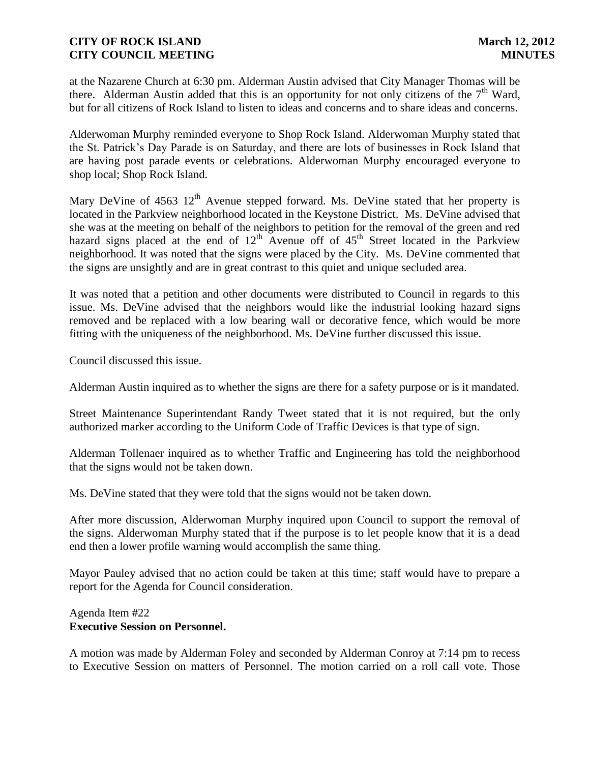at the Nazarene Church at 6:30 pm. Alderman Austin advised that City Manager Thomas will be there. Alderman Austin added that this is an opportunity for not only citizens of the  $7<sup>th</sup>$  Ward, but for all citizens of Rock Island to listen to ideas and concerns and to share ideas and concerns.

Alderwoman Murphy reminded everyone to Shop Rock Island. Alderwoman Murphy stated that the St. Patrick's Day Parade is on Saturday, and there are lots of businesses in Rock Island that are having post parade events or celebrations. Alderwoman Murphy encouraged everyone to shop local; Shop Rock Island.

Mary DeVine of  $4563 \ 12^{th}$  Avenue stepped forward. Ms. DeVine stated that her property is located in the Parkview neighborhood located in the Keystone District. Ms. DeVine advised that she was at the meeting on behalf of the neighbors to petition for the removal of the green and red hazard signs placed at the end of  $12<sup>th</sup>$  Avenue off of  $45<sup>th</sup>$  Street located in the Parkview neighborhood. It was noted that the signs were placed by the City. Ms. DeVine commented that the signs are unsightly and are in great contrast to this quiet and unique secluded area.

It was noted that a petition and other documents were distributed to Council in regards to this issue. Ms. DeVine advised that the neighbors would like the industrial looking hazard signs removed and be replaced with a low bearing wall or decorative fence, which would be more fitting with the uniqueness of the neighborhood. Ms. DeVine further discussed this issue.

Council discussed this issue.

Alderman Austin inquired as to whether the signs are there for a safety purpose or is it mandated.

Street Maintenance Superintendant Randy Tweet stated that it is not required, but the only authorized marker according to the Uniform Code of Traffic Devices is that type of sign.

Alderman Tollenaer inquired as to whether Traffic and Engineering has told the neighborhood that the signs would not be taken down.

Ms. DeVine stated that they were told that the signs would not be taken down.

After more discussion, Alderwoman Murphy inquired upon Council to support the removal of the signs. Alderwoman Murphy stated that if the purpose is to let people know that it is a dead end then a lower profile warning would accomplish the same thing.

Mayor Pauley advised that no action could be taken at this time; staff would have to prepare a report for the Agenda for Council consideration.

#### Agenda Item #22 **Executive Session on Personnel.**

A motion was made by Alderman Foley and seconded by Alderman Conroy at 7:14 pm to recess to Executive Session on matters of Personnel. The motion carried on a roll call vote. Those